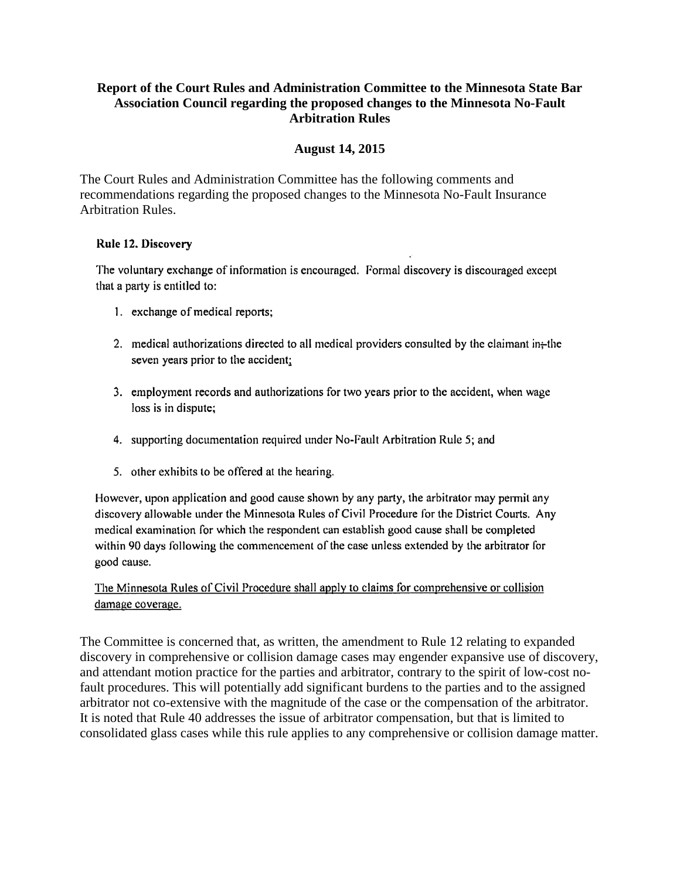# **Report of the Court Rules and Administration Committee to the Minnesota State Bar Association Council regarding the proposed changes to the Minnesota No-Fault Arbitration Rules**

#### **August 14, 2015**

The Court Rules and Administration Committee has the following comments and recommendations regarding the proposed changes to the Minnesota No-Fault Insurance Arbitration Rules.

#### Rule 12. Discovery

The voluntary exchange of information is encouraged. Formal discovery is discouraged except that a party is entitled to:

- 1. exchange of medical reports;
- 2. medical authorizations directed to all medical providers consulted by the claimant in-the seven years prior to the accident;
- 3. employment records and authorizations for two years prior to the accident, when wage loss is in dispute;
- 4. supporting documentation required under No-Fault Arbitration Rule 5; and
- 5. other exhibits to be offered at the hearing.

However, upon application and good cause shown by any party, the arbitrator may permit any discovery allowable under the Minnesota Rules of Civil Procedure for the District Courts. Any medical examination for which the respondent can establish good cause shall be completed within 90 days following the commencement of the case unless extended by the arbitrator for good cause.

# The Minnesota Rules of Civil Procedure shall apply to claims for comprehensive or collision damage coverage.

The Committee is concerned that, as written, the amendment to Rule 12 relating to expanded discovery in comprehensive or collision damage cases may engender expansive use of discovery, and attendant motion practice for the parties and arbitrator, contrary to the spirit of low-cost nofault procedures. This will potentially add significant burdens to the parties and to the assigned arbitrator not co-extensive with the magnitude of the case or the compensation of the arbitrator. It is noted that Rule 40 addresses the issue of arbitrator compensation, but that is limited to consolidated glass cases while this rule applies to any comprehensive or collision damage matter.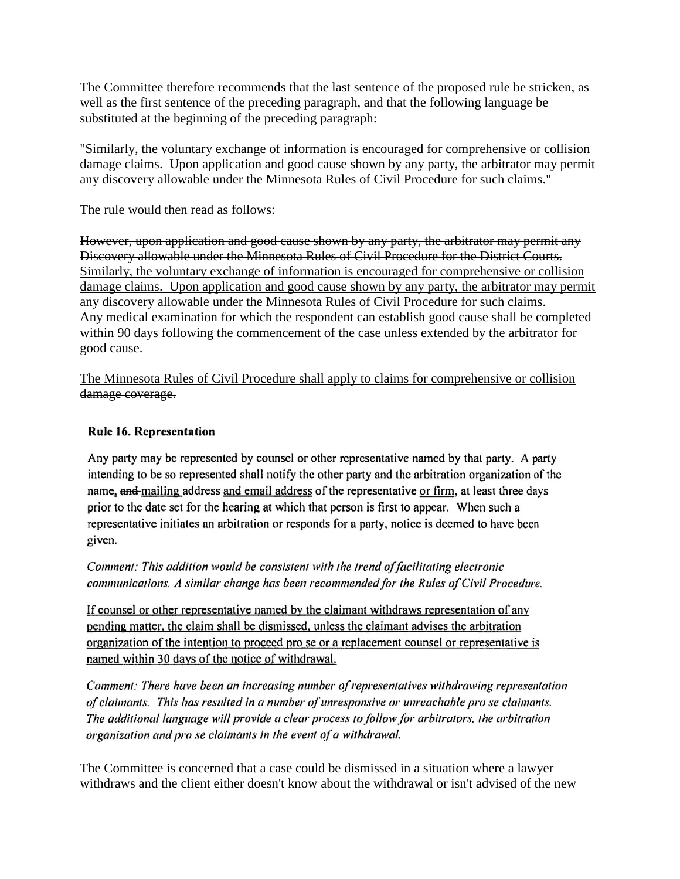The Committee therefore recommends that the last sentence of the proposed rule be stricken, as well as the first sentence of the preceding paragraph, and that the following language be substituted at the beginning of the preceding paragraph:

"Similarly, the voluntary exchange of information is encouraged for comprehensive or collision damage claims. Upon application and good cause shown by any party, the arbitrator may permit any discovery allowable under the Minnesota Rules of Civil Procedure for such claims."

The rule would then read as follows:

However, upon application and good cause shown by any party, the arbitrator may permit any Discovery allowable under the Minnesota Rules of Civil Procedure for the District Courts. Similarly, the voluntary exchange of information is encouraged for comprehensive or collision damage claims. Upon application and good cause shown by any party, the arbitrator may permit any discovery allowable under the Minnesota Rules of Civil Procedure for such claims. Any medical examination for which the respondent can establish good cause shall be completed within 90 days following the commencement of the case unless extended by the arbitrator for good cause.

The Minnesota Rules of Civil Procedure shall apply to claims for comprehensive or collision damage coverage.

### **Rule 16. Representation**

Any party may be represented by counsel or other representative named by that party. A party intending to be so represented shall notify the other party and the arbitration organization of the name, and mailing address and email address of the representative or firm, at least three days prior to the date set for the hearing at which that person is first to appear. When such a representative initiates an arbitration or responds for a party, notice is deemed to have been given.

Comment: This addition would be consistent with the trend of facilitating electronic communications. A similar change has been recommended for the Rules of Civil Procedure.

If counsel or other representative named by the claimant withdraws representation of any pending matter, the claim shall be dismissed, unless the claimant advises the arbitration organization of the intention to proceed pro se or a replacement counsel or representative is named within 30 days of the notice of withdrawal.

Comment: There have been an increasing number of representatives withdrawing representation of claimants. This has resulted in a number of unresponsive or unreachable pro se claimants. The additional language will provide a clear process to follow for arbitrators, the arbitration organization and pro se claimants in the event of a withdrawal.

The Committee is concerned that a case could be dismissed in a situation where a lawyer withdraws and the client either doesn't know about the withdrawal or isn't advised of the new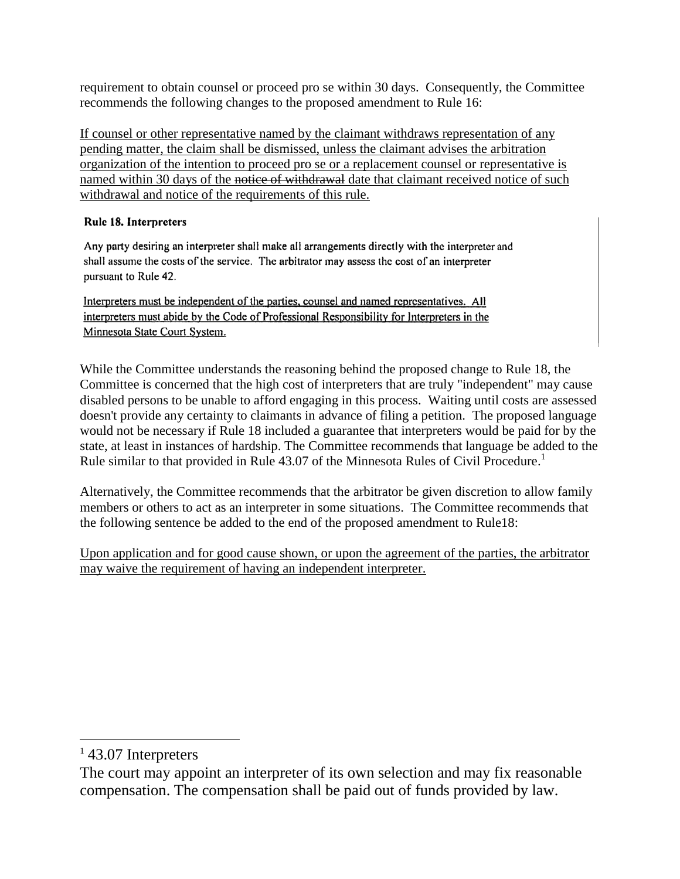requirement to obtain counsel or proceed pro se within 30 days. Consequently, the Committee recommends the following changes to the proposed amendment to Rule 16:

If counsel or other representative named by the claimant withdraws representation of any pending matter, the claim shall be dismissed, unless the claimant advises the arbitration organization of the intention to proceed pro se or a replacement counsel or representative is named within 30 days of the notice of withdrawal date that claimant received notice of such withdrawal and notice of the requirements of this rule.

# Rule 18. Interpreters

Any party desiring an interpreter shall make all arrangements directly with the interpreter and shall assume the costs of the service. The arbitrator may assess the cost of an interpreter pursuant to Rule 42.

Interpreters must be independent of the parties, counsel and named representatives. All interpreters must abide by the Code of Professional Responsibility for Interpreters in the Minnesota State Court System.

While the Committee understands the reasoning behind the proposed change to Rule 18, the Committee is concerned that the high cost of interpreters that are truly "independent" may cause disabled persons to be unable to afford engaging in this process. Waiting until costs are assessed doesn't provide any certainty to claimants in advance of filing a petition. The proposed language would not be necessary if Rule 18 included a guarantee that interpreters would be paid for by the state, at least in instances of hardship. The Committee recommends that language be added to the Rule similar to that provided in Rule 43.07 of the Minnesota Rules of Civil Procedure.<sup>1</sup>

Alternatively, the Committee recommends that the arbitrator be given discretion to allow family members or others to act as an interpreter in some situations. The Committee recommends that the following sentence be added to the end of the proposed amendment to Rule18:

Upon application and for good cause shown, or upon the agreement of the parties, the arbitrator may waive the requirement of having an independent interpreter.

 $\overline{a}$ 

<sup>&</sup>lt;sup>1</sup> 43.07 Interpreters

The court may appoint an interpreter of its own selection and may fix reasonable compensation. The compensation shall be paid out of funds provided by law.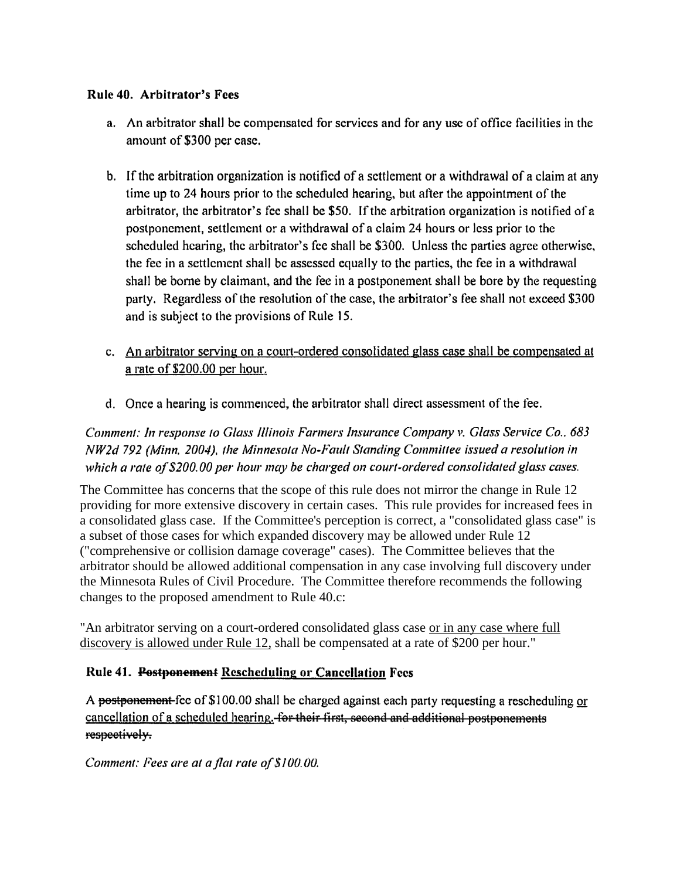# Rule 40. Arbitrator's Fees

- a. An arbitrator shall be compensated for services and for any use of office facilities in the amount of \$300 per case.
- b. If the arbitration organization is notified of a settlement or a withdrawal of a claim at any time up to 24 hours prior to the scheduled hearing, but after the appointment of the arbitrator, the arbitrator's fee shall be \$50. If the arbitration organization is notified of a postponement, settlement or a withdrawal of a claim 24 hours or less prior to the scheduled hearing, the arbitrator's fee shall be \$300. Unless the parties agree otherwise, the fee in a settlement shall be assessed equally to the parties, the fee in a withdrawal shall be borne by claimant, and the fee in a postponement shall be bore by the requesting party. Regardless of the resolution of the case, the arbitrator's fee shall not exceed \$300 and is subject to the provisions of Rule 15.
- c. An arbitrator serving on a court-ordered consolidated glass case shall be compensated at a rate of \$200.00 per hour.
- d. Once a hearing is commenced, the arbitrator shall direct assessment of the fee.

Comment: In response to Glass Illinois Farmers Insurance Company v. Glass Service Co., 683 NW2d 792 (Minn. 2004), the Minnesota No-Fault Standing Committee issued a resolution in which a rate of \$200.00 per hour may be charged on court-ordered consolidated glass cases.

The Committee has concerns that the scope of this rule does not mirror the change in Rule 12 providing for more extensive discovery in certain cases. This rule provides for increased fees in a consolidated glass case. If the Committee's perception is correct, a "consolidated glass case" is a subset of those cases for which expanded discovery may be allowed under Rule 12 ("comprehensive or collision damage coverage" cases). The Committee believes that the arbitrator should be allowed additional compensation in any case involving full discovery under the Minnesota Rules of Civil Procedure. The Committee therefore recommends the following changes to the proposed amendment to Rule 40.c:

"An arbitrator serving on a court-ordered consolidated glass case or in any case where full discovery is allowed under Rule 12, shall be compensated at a rate of \$200 per hour."

# Rule 41. Postponement Rescheduling or Cancellation Fees

A postponement-fee of \$100.00 shall be charged against each party requesting a rescheduling or cancellation of a scheduled hearing. for their first, second and additional postponements respectively.

Comment: Fees are at a flat rate of \$100.00.